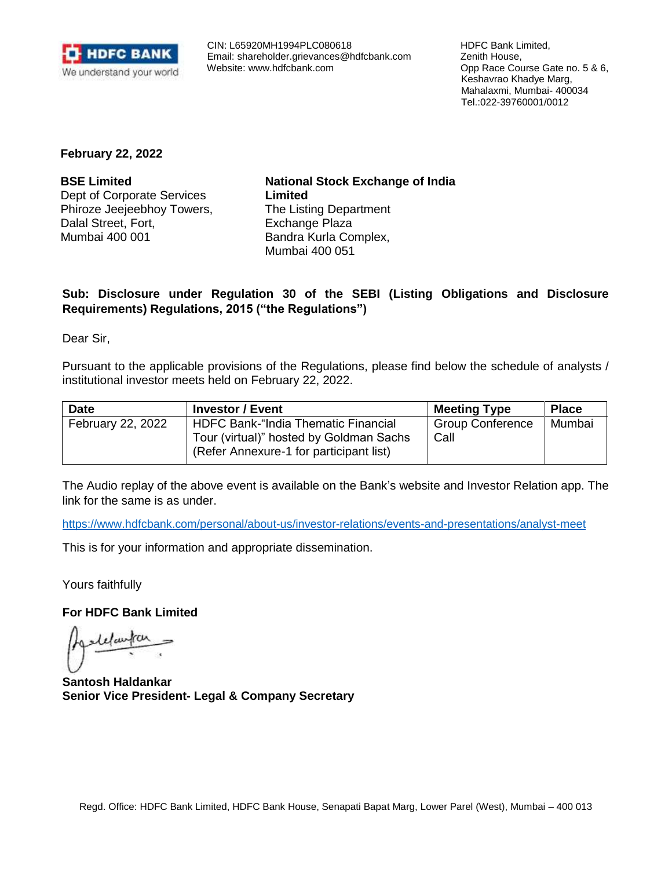

 CIN: L65920MH1994PLC080618 Email: [shareholder.grievances@hdfcbank.com](mailto:shareholder.grievances@hdfcbank.com) Website: [www.hdfcbank.com](http://www.hdfcbank.com/)

 HDFC Bank Limited, Zenith House, Opp Race Course Gate no. 5 & 6, Keshavrao Khadye Marg, Mahalaxmi, Mumbai- 400034 Tel.:022-39760001/0012

**February 22, 2022**

**BSE Limited** Dept of Corporate Services Phiroze Jeejeebhoy Towers, Dalal Street, Fort, Mumbai 400 001

**National Stock Exchange of India Limited** The Listing Department Exchange Plaza Bandra Kurla Complex, Mumbai 400 051

## **Sub: Disclosure under Regulation 30 of the SEBI (Listing Obligations and Disclosure Requirements) Regulations, 2015 ("the Regulations")**

Dear Sir,

Pursuant to the applicable provisions of the Regulations, please find below the schedule of analysts / institutional investor meets held on February 22, 2022.

| <b>Date</b>       | <b>Investor / Event</b>                                                                                                          | <b>Meeting Type</b>             | <b>Place</b> |
|-------------------|----------------------------------------------------------------------------------------------------------------------------------|---------------------------------|--------------|
| February 22, 2022 | <b>HDFC Bank-"India Thematic Financial</b><br>Tour (virtual)" hosted by Goldman Sachs<br>(Refer Annexure-1 for participant list) | <b>Group Conference</b><br>Call | Mumbai       |

The Audio replay of the above event is available on the Bank's website and Investor Relation app. The link for the same is as under.

<https://www.hdfcbank.com/personal/about-us/investor-relations/events-and-presentations/analyst-meet>

This is for your information and appropriate dissemination.

Yours faithfully

**For HDFC Bank Limited** 

delanta

**Santosh Haldankar Senior Vice President- Legal & Company Secretary**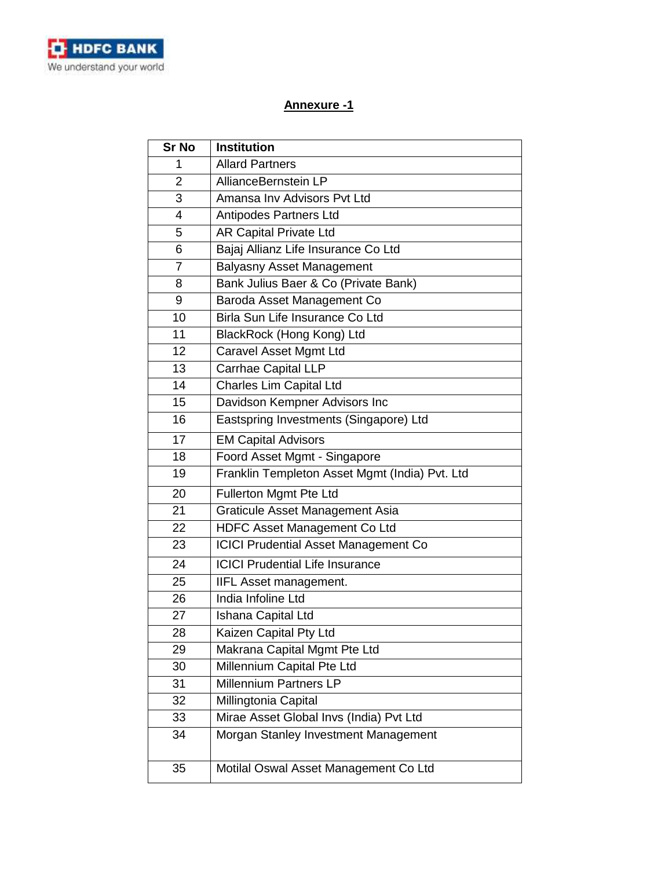

## **Annexure -1**

| <b>Sr No</b>   | <b>Institution</b>                             |
|----------------|------------------------------------------------|
| 1              | <b>Allard Partners</b>                         |
| $\overline{2}$ | AllianceBernstein LP                           |
| 3              | Amansa Inv Advisors Pvt Ltd                    |
| 4              | Antipodes Partners Ltd                         |
| 5              | <b>AR Capital Private Ltd</b>                  |
| 6              | Bajaj Allianz Life Insurance Co Ltd            |
| $\overline{7}$ | <b>Balyasny Asset Management</b>               |
| 8              | Bank Julius Baer & Co (Private Bank)           |
| 9              | Baroda Asset Management Co                     |
| 10             | Birla Sun Life Insurance Co Ltd                |
| 11             | BlackRock (Hong Kong) Ltd                      |
| 12             | Caravel Asset Mgmt Ltd                         |
| 13             | <b>Carrhae Capital LLP</b>                     |
| 14             | <b>Charles Lim Capital Ltd</b>                 |
| 15             | Davidson Kempner Advisors Inc                  |
| 16             | Eastspring Investments (Singapore) Ltd         |
| 17             | <b>EM Capital Advisors</b>                     |
| 18             | Foord Asset Mgmt - Singapore                   |
| 19             | Franklin Templeton Asset Mgmt (India) Pvt. Ltd |
| 20             | Fullerton Mgmt Pte Ltd                         |
| 21             | Graticule Asset Management Asia                |
| 22             | HDFC Asset Management Co Ltd                   |
| 23             | <b>ICICI Prudential Asset Management Co</b>    |
| 24             | <b>ICICI Prudential Life Insurance</b>         |
| 25             | IIFL Asset management.                         |
| 26             | India Infoline Ltd                             |
| 27             | Ishana Capital Ltd                             |
| 28             | Kaizen Capital Pty Ltd                         |
| 29             | Makrana Capital Mgmt Pte Ltd                   |
| 30             | Millennium Capital Pte Ltd                     |
| 31             | <b>Millennium Partners LP</b>                  |
| 32             | Millingtonia Capital                           |
| 33             | Mirae Asset Global Invs (India) Pvt Ltd        |
| 34             | Morgan Stanley Investment Management           |
| 35             | Motilal Oswal Asset Management Co Ltd          |